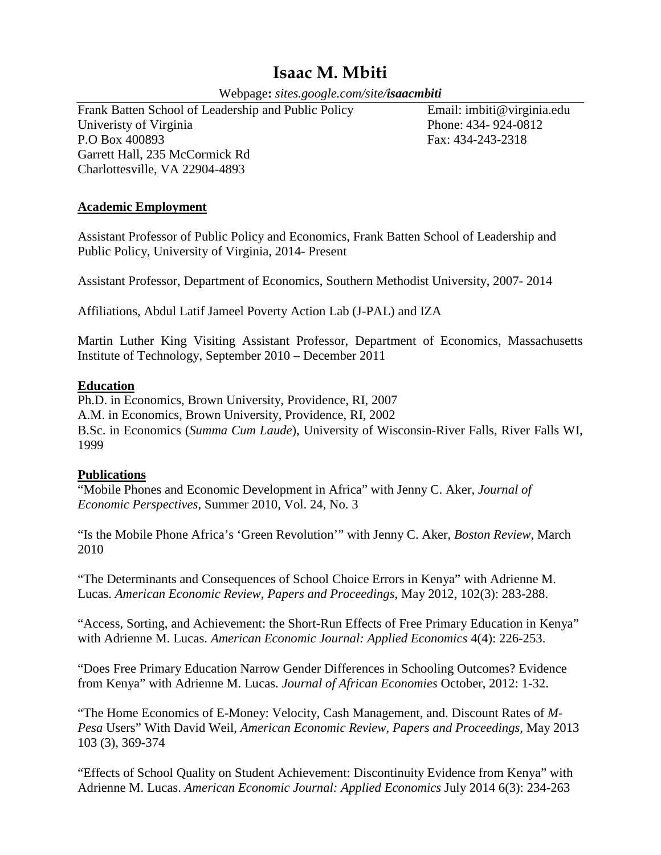# **Isaac M. Mbiti**

Webpage**:** *sites.google.com/site/isaacmbiti*

Frank Batten School of Leadership and Public Policy Email: imbiti@virginia.edu Univeristy of Virginia Phone: 434- 924-0812 P.O Box 400893 Fax: 434-243-2318 Garrett Hall, 235 McCormick Rd Charlottesville, VA 22904-4893

# **Academic Employment**

Assistant Professor of Public Policy and Economics, Frank Batten School of Leadership and Public Policy, University of Virginia, 2014- Present

Assistant Professor, Department of Economics, Southern Methodist University, 2007- 2014

Affiliations, Abdul Latif Jameel Poverty Action Lab (J-PAL) and IZA

Martin Luther King Visiting Assistant Professor, Department of Economics, Massachusetts Institute of Technology, September 2010 – December 2011

## **Education**

Ph.D. in Economics, Brown University, Providence, RI, 2007 A.M. in Economics, Brown University, Providence, RI, 2002 B.Sc. in Economics (*Summa Cum Laude*), University of Wisconsin-River Falls, River Falls WI, 1999

## **Publications**

"Mobile Phones and Economic Development in Africa" with Jenny C. Aker, *Journal of Economic Perspectives*, Summer 2010, Vol. 24, No. 3

"Is the Mobile Phone Africa's 'Green Revolution'" with Jenny C. Aker, *Boston Review*, March 2010

"The Determinants and Consequences of School Choice Errors in Kenya" with Adrienne M. Lucas. *American Economic Review, Papers and Proceedings*, May 2012, 102(3): 283-288.

"Access, Sorting, and Achievement: the Short-Run Effects of Free Primary Education in Kenya" with Adrienne M. Lucas. *American Economic Journal: Applied Economics* 4(4): 226-253.

"Does Free Primary Education Narrow Gender Differences in Schooling Outcomes? Evidence from Kenya" with Adrienne M. Lucas. *Journal of African Economies* October, 2012: 1-32.

"The Home Economics of E-Money: Velocity, Cash Management, and. Discount Rates of *M*-*Pesa* Users" With David Weil, *American Economic Review*, *Papers and Proceedings*, May 2013 103 (3), 369-374

"Effects of School Quality on Student Achievement: Discontinuity Evidence from Kenya" with Adrienne M. Lucas. *American Economic Journal: Applied Economics* July 2014 6(3): 234-263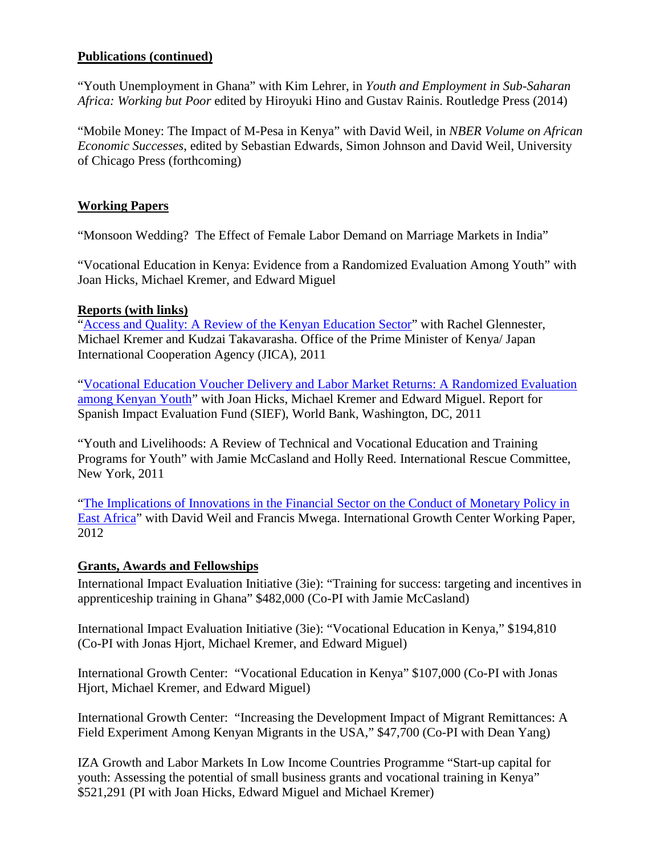# **Publications (continued)**

"Youth Unemployment in Ghana" with Kim Lehrer, in *Youth and Employment in Sub-Saharan Africa: Working but Poor* edited by Hiroyuki Hino and Gustav Rainis. Routledge Press (2014)

"Mobile Money: The Impact of M-Pesa in Kenya" with David Weil, in *NBER Volume on African Economic Successes*, edited by Sebastian Edwards, Simon Johnson and David Weil, University of Chicago Press (forthcoming)

# **Working Papers**

"Monsoon Wedding? The Effect of Female Labor Demand on Marriage Markets in India"

"Vocational Education in Kenya: Evidence from a Randomized Evaluation Among Youth" with Joan Hicks, Michael Kremer, and Edward Miguel

## **Reports (with links)**

["Access and Quality: A Review of the Kenyan Education Sector"](http://www.povertyactionlab.org/sites/default/files/publications/Access%20and%20Quality%20in%20the%20Kenyan%20Education%20System%202011.06.22.pdf) with Rachel Glennester, Michael Kremer and Kudzai Takavarasha. Office of the Prime Minister of Kenya/ Japan International Cooperation Agency (JICA), 2011

["Vocational Education Voucher Delivery and Labor Market Returns: A Randomized Evaluation](http://siteresources.worldbank.org/INTHDOFFICE/Resources/VocEd_SIEF_Report_2011-04-07_final.pdf)  [among Kenyan Youth"](http://siteresources.worldbank.org/INTHDOFFICE/Resources/VocEd_SIEF_Report_2011-04-07_final.pdf) with Joan Hicks, Michael Kremer and Edward Miguel. Report for Spanish Impact Evaluation Fund (SIEF), World Bank, Washington, DC, 2011

"Youth and Livelihoods: A Review of Technical and Vocational Education and Training Programs for Youth" with Jamie McCasland and Holly Reed. International Rescue Committee, New York, 2011

["The Implications of Innovations in the Financial Sector on the Conduct of Monetary Policy in](http://www.theigc.org/publications/working-paper/implications-innovations-financial-sector-conduct-monetary-policy-east)  [East Africa"](http://www.theigc.org/publications/working-paper/implications-innovations-financial-sector-conduct-monetary-policy-east) with David Weil and Francis Mwega. International Growth Center Working Paper, 2012

## **Grants, Awards and Fellowships**

International Impact Evaluation Initiative (3ie): "Training for success: targeting and incentives in apprenticeship training in Ghana" \$482,000 (Co-PI with Jamie McCasland)

International Impact Evaluation Initiative (3ie): "Vocational Education in Kenya," \$194,810 (Co-PI with Jonas Hjort, Michael Kremer, and Edward Miguel)

International Growth Center: "Vocational Education in Kenya" \$107,000 (Co-PI with Jonas Hjort, Michael Kremer, and Edward Miguel)

International Growth Center: "Increasing the Development Impact of Migrant Remittances: A Field Experiment Among Kenyan Migrants in the USA," \$47,700 (Co-PI with Dean Yang)

IZA Growth and Labor Markets In Low Income Countries Programme "Start-up capital for youth: Assessing the potential of small business grants and vocational training in Kenya" \$521,291 (PI with Joan Hicks, Edward Miguel and Michael Kremer)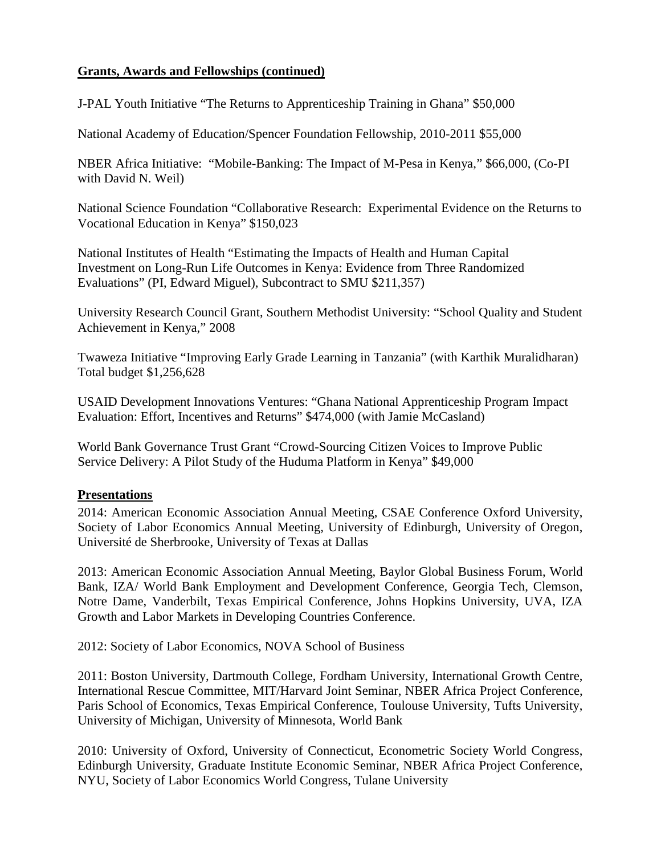# **Grants, Awards and Fellowships (continued)**

J-PAL Youth Initiative "The Returns to Apprenticeship Training in Ghana" \$50,000

National Academy of Education/Spencer Foundation Fellowship, 2010-2011 \$55,000

NBER Africa Initiative: "Mobile-Banking: The Impact of M-Pesa in Kenya," \$66,000, (Co-PI with David N. Weil)

National Science Foundation "Collaborative Research: Experimental Evidence on the Returns to Vocational Education in Kenya" \$150,023

National Institutes of Health "Estimating the Impacts of Health and Human Capital Investment on Long-Run Life Outcomes in Kenya: Evidence from Three Randomized Evaluations" (PI, Edward Miguel), Subcontract to SMU \$211,357)

University Research Council Grant, Southern Methodist University: "School Quality and Student Achievement in Kenya," 2008

Twaweza Initiative "Improving Early Grade Learning in Tanzania" (with Karthik Muralidharan) Total budget \$1,256,628

USAID Development Innovations Ventures: "Ghana National Apprenticeship Program Impact Evaluation: Effort, Incentives and Returns" \$474,000 (with Jamie McCasland)

World Bank Governance Trust Grant "Crowd-Sourcing Citizen Voices to Improve Public Service Delivery: A Pilot Study of the Huduma Platform in Kenya" \$49,000

# **Presentations**

2014: American Economic Association Annual Meeting, CSAE Conference Oxford University, Society of Labor Economics Annual Meeting, University of Edinburgh, University of Oregon, Université de Sherbrooke, University of Texas at Dallas

2013: American Economic Association Annual Meeting, Baylor Global Business Forum, World Bank, IZA/ World Bank Employment and Development Conference, Georgia Tech, Clemson, Notre Dame, Vanderbilt, Texas Empirical Conference, Johns Hopkins University, UVA, IZA Growth and Labor Markets in Developing Countries Conference.

2012: Society of Labor Economics, NOVA School of Business

2011: Boston University, Dartmouth College, Fordham University, International Growth Centre, International Rescue Committee, MIT/Harvard Joint Seminar, NBER Africa Project Conference, Paris School of Economics, Texas Empirical Conference, Toulouse University, Tufts University, University of Michigan, University of Minnesota, World Bank

2010: University of Oxford, University of Connecticut, Econometric Society World Congress, Edinburgh University, Graduate Institute Economic Seminar, NBER Africa Project Conference, NYU, Society of Labor Economics World Congress, Tulane University